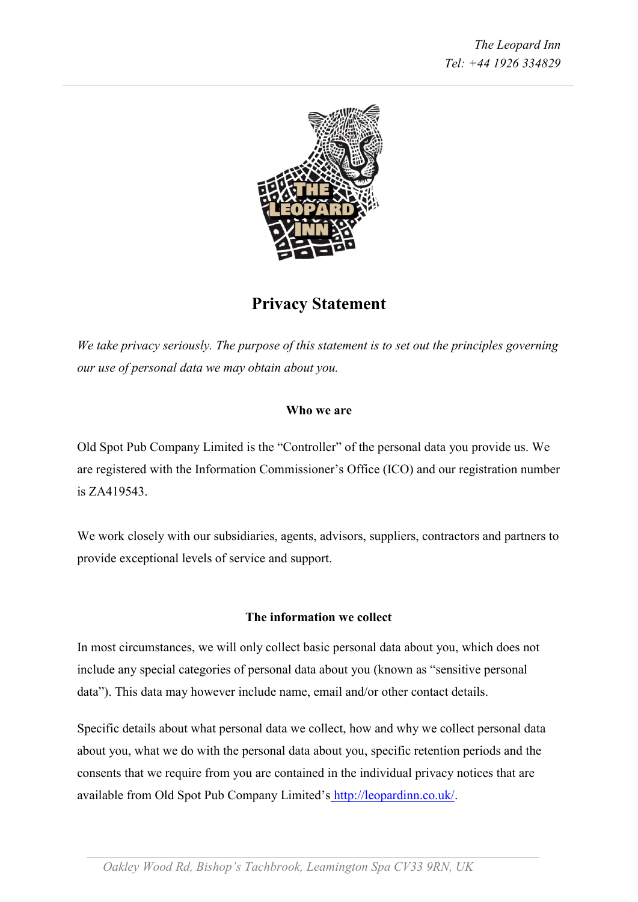

# **Privacy Statement**

*We take privacy seriously. The purpose of this statement is to set out the principles governing our use of personal data we may obtain about you.*

# **Who we are**

Old Spot Pub Company Limited is the "Controller" of the personal data you provide us. We are registered with the Information Commissioner's Office (ICO) and our registration number is ZA419543.

We work closely with our subsidiaries, agents, advisors, suppliers, contractors and partners to provide exceptional levels of service and support.

### **The information we collect**

In most circumstances, we will only collect basic personal data about you, which does not include any special categories of personal data about you (known as "sensitive personal data"). This data may however include name, email and/or other contact details.

Specific details about what personal data we collect, how and why we collect personal data about you, what we do with the personal data about you, specific retention periods and the consents that we require from you are contained in the individual privacy notices that are available from Old Spot Pub Company Limited's [http://leopardinn.co.uk/.](http://leopardinn.co.uk/)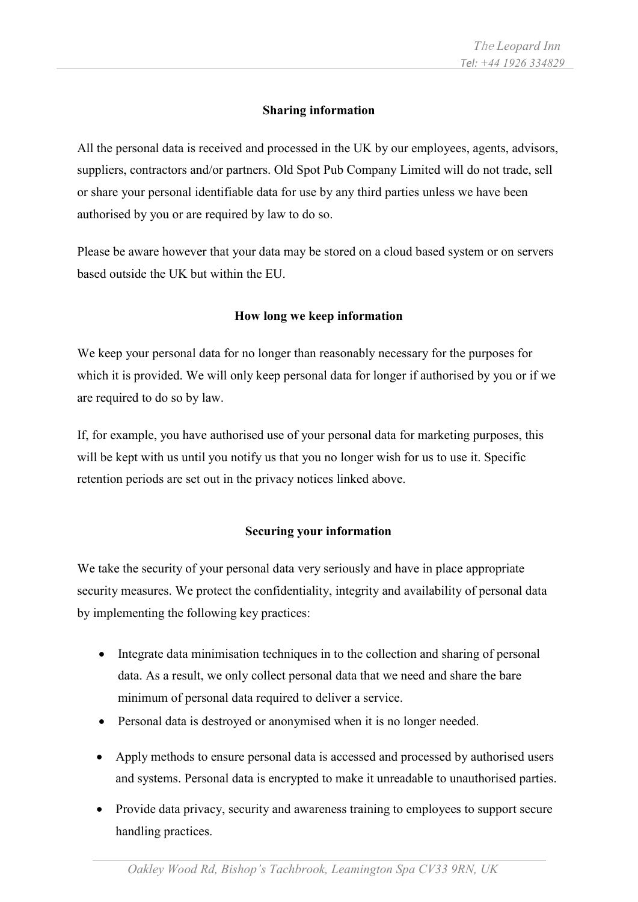# **Sharing information**

All the personal data is received and processed in the UK by our employees, agents, advisors, suppliers, contractors and/or partners. Old Spot Pub Company Limited will do not trade, sell or share your personal identifiable data for use by any third parties unless we have been authorised by you or are required by law to do so.

Please be aware however that your data may be stored on a cloud based system or on servers based outside the UK but within the EU.

# **How long we keep information**

We keep your personal data for no longer than reasonably necessary for the purposes for which it is provided. We will only keep personal data for longer if authorised by you or if we are required to do so by law.

If, for example, you have authorised use of your personal data for marketing purposes, this will be kept with us until you notify us that you no longer wish for us to use it. Specific retention periods are set out in the privacy notices linked above.

# **Securing your information**

We take the security of your personal data very seriously and have in place appropriate security measures. We protect the confidentiality, integrity and availability of personal data by implementing the following key practices:

- Integrate data minimisation techniques in to the collection and sharing of personal data. As a result, we only collect personal data that we need and share the bare minimum of personal data required to deliver a service.
- Personal data is destroyed or anonymised when it is no longer needed.
- Apply methods to ensure personal data is accessed and processed by authorised users and systems. Personal data is encrypted to make it unreadable to unauthorised parties.
- Provide data privacy, security and awareness training to employees to support secure handling practices.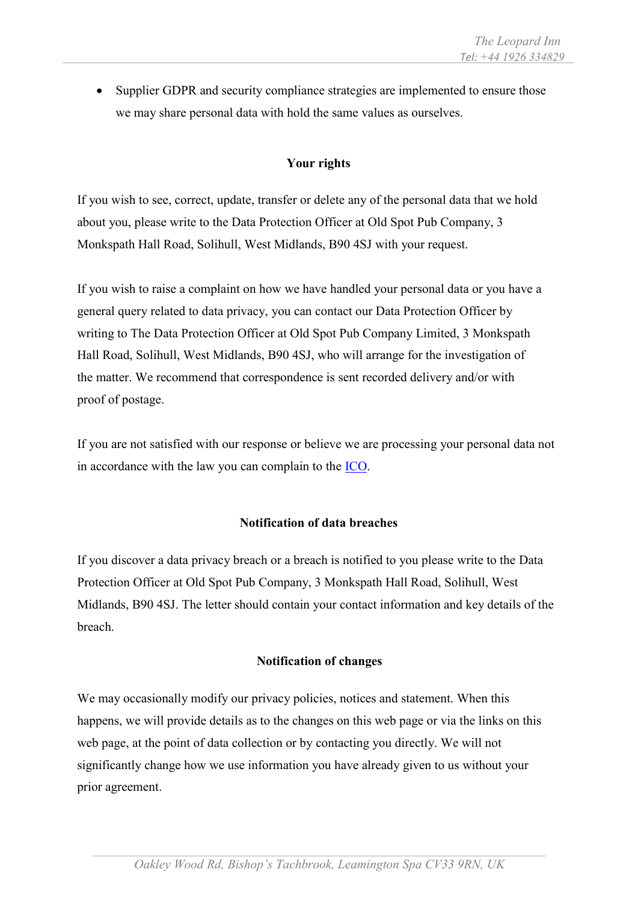• Supplier GDPR and security compliance strategies are implemented to ensure those we may share personal data with hold the same values as ourselves.

# **Your rights**

If you wish to see, correct, update, transfer or delete any of the personal data that we hold about you, please write to the Data Protection Officer at Old Spot Pub Company, 3 Monkspath Hall Road, Solihull, West Midlands, B90 4SJ with your request.

If you wish to raise a complaint on how we have handled your personal data or you have a general query related to data privacy, you can contact our Data Protection Officer by writing to The Data Protection Officer at Old Spot Pub Company Limited, 3 Monkspath Hall Road, Solihull, West Midlands, B90 4SJ, who will arrange for the investigation of the matter. We recommend that correspondence is sent recorded delivery and/or with proof of postage.

If you are not satisfied with our response or believe we are processing your personal data not in accordance with the law you can complain to the [ICO.](https://ico.org.uk/make-a-complaint/)

### **Notification of data breaches**

If you discover a data privacy breach or a breach is notified to you please write to the Data Protection Officer at Old Spot Pub Company, 3 Monkspath Hall Road, Solihull, West Midlands, B90 4SJ. The letter should contain your contact information and key details of the breach.

#### **Notification of changes**

We may occasionally modify our privacy policies, notices and statement. When this happens, we will provide details as to the changes on this web page or via the links on this web page, at the point of data collection or by contacting you directly. We will not significantly change how we use information you have already given to us without your prior agreement.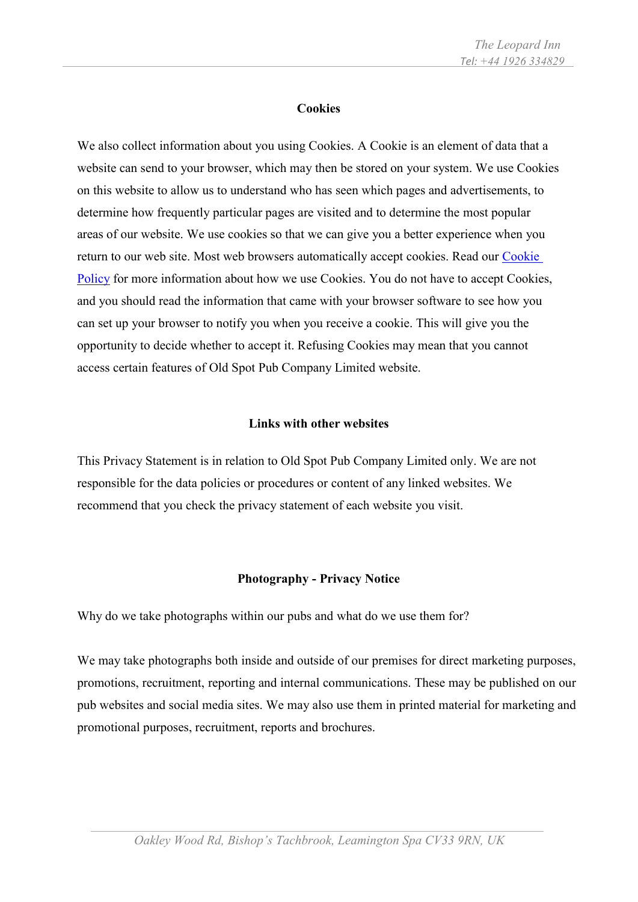#### **Cookies**

We also collect information about you using Cookies. A Cookie is an element of data that a website can send to your browser, which may then be stored on your system. We use Cookies on this website to allow us to understand who has seen which pages and advertisements, to determine how frequently particular pages are visited and to determine the most popular areas of our website. We use cookies so that we can give you a better experience when you return to our web site. Most web browsers automatically accept cookies. Read our Cookie [Policy](http://leopardinn.co.uk/) for more information about how we use Cookies. You do not have to accept Cookies, and you should read the information that came with your browser software to see how you can set up your browser to notify you when you receive a cookie. This will give you the opportunity to decide whether to accept it. Refusing Cookies may mean that you cannot access certain features of Old Spot Pub Company Limited website.

#### **Links with other websites**

This Privacy Statement is in relation to Old Spot Pub Company Limited only. We are not responsible for the data policies or procedures or content of any linked websites. We recommend that you check the privacy statement of each website you visit.

#### **Photography - Privacy Notice**

Why do we take photographs within our pubs and what do we use them for?

We may take photographs both inside and outside of our premises for direct marketing purposes, promotions, recruitment, reporting and internal communications. These may be published on our pub websites and social media sites. We may also use them in printed material for marketing and promotional purposes, recruitment, reports and brochures.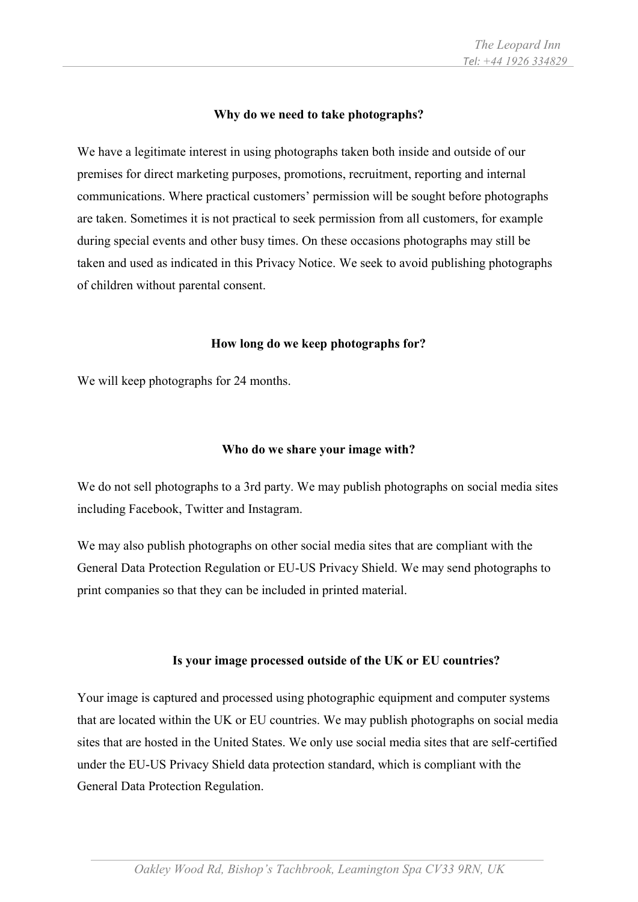### **Why do we need to take photographs?**

We have a legitimate interest in using photographs taken both inside and outside of our premises for direct marketing purposes, promotions, recruitment, reporting and internal communications. Where practical customers' permission will be sought before photographs are taken. Sometimes it is not practical to seek permission from all customers, for example during special events and other busy times. On these occasions photographs may still be taken and used as indicated in this Privacy Notice. We seek to avoid publishing photographs of children without parental consent.

### **How long do we keep photographs for?**

We will keep photographs for 24 months.

# **Who do we share your image with?**

We do not sell photographs to a 3rd party. We may publish photographs on social media sites including Facebook, Twitter and Instagram.

We may also publish photographs on other social media sites that are compliant with the General Data Protection Regulation or EU-US Privacy Shield. We may send photographs to print companies so that they can be included in printed material.

### **Is your image processed outside of the UK or EU countries?**

Your image is captured and processed using photographic equipment and computer systems that are located within the UK or EU countries. We may publish photographs on social media sites that are hosted in the United States. We only use social media sites that are self-certified under the EU-US Privacy Shield data protection standard, which is compliant with the General Data Protection Regulation.